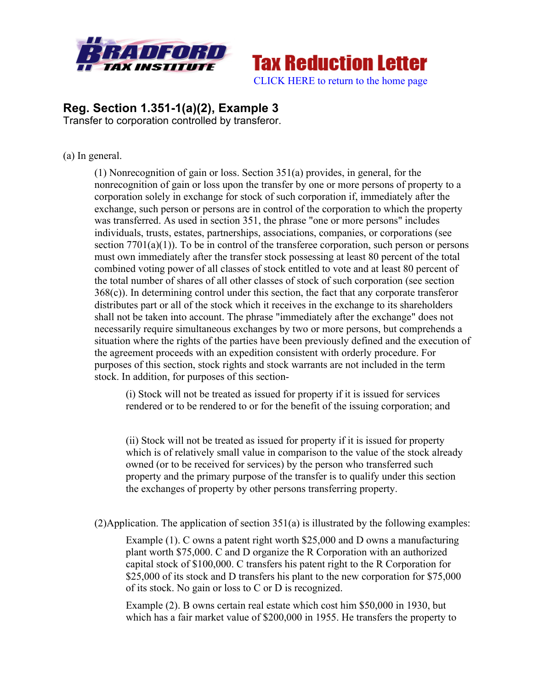

**Tax Reduction Letter** [CLICK HERE to return to the home page](www.bradfordtaxinstitute.com) 

## **Reg. Section 1.351-1(a)(2), Example 3** Transfer to corporation controlled by transferor.

## (a) In general.

(1) Nonrecognition of gain or loss. Section 351(a) provides, in general, for the nonrecognition of gain or loss upon the transfer by one or more persons of property to a corporation solely in exchange for stock of such corporation if, immediately after the exchange, such person or persons are in control of the corporation to which the property was transferred. As used in section 351, the phrase "one or more persons" includes individuals, trusts, estates, partnerships, associations, companies, or corporations (see section 7701(a)(1)). To be in control of the transferee corporation, such person or persons must own immediately after the transfer stock possessing at least 80 percent of the total combined voting power of all classes of stock entitled to vote and at least 80 percent of the total number of shares of all other classes of stock of such corporation (see section 368(c)). In determining control under this section, the fact that any corporate transferor distributes part or all of the stock which it receives in the exchange to its shareholders shall not be taken into account. The phrase "immediately after the exchange" does not necessarily require simultaneous exchanges by two or more persons, but comprehends a situation where the rights of the parties have been previously defined and the execution of the agreement proceeds with an expedition consistent with orderly procedure. For purposes of this section, stock rights and stock warrants are not included in the term stock. In addition, for purposes of this section-

(i) Stock will not be treated as issued for property if it is issued for services rendered or to be rendered to or for the benefit of the issuing corporation; and

(ii) Stock will not be treated as issued for property if it is issued for property which is of relatively small value in comparison to the value of the stock already owned (or to be received for services) by the person who transferred such property and the primary purpose of the transfer is to qualify under this section the exchanges of property by other persons transferring property.

 $(2)$ Application. The application of section 351(a) is illustrated by the following examples:

Example (1). C owns a patent right worth \$25,000 and D owns a manufacturing plant worth \$75,000. C and D organize the R Corporation with an authorized capital stock of \$100,000. C transfers his patent right to the R Corporation for \$25,000 of its stock and D transfers his plant to the new corporation for \$75,000 of its stock. No gain or loss to C or D is recognized.

Example (2). B owns certain real estate which cost him \$50,000 in 1930, but which has a fair market value of \$200,000 in 1955. He transfers the property to